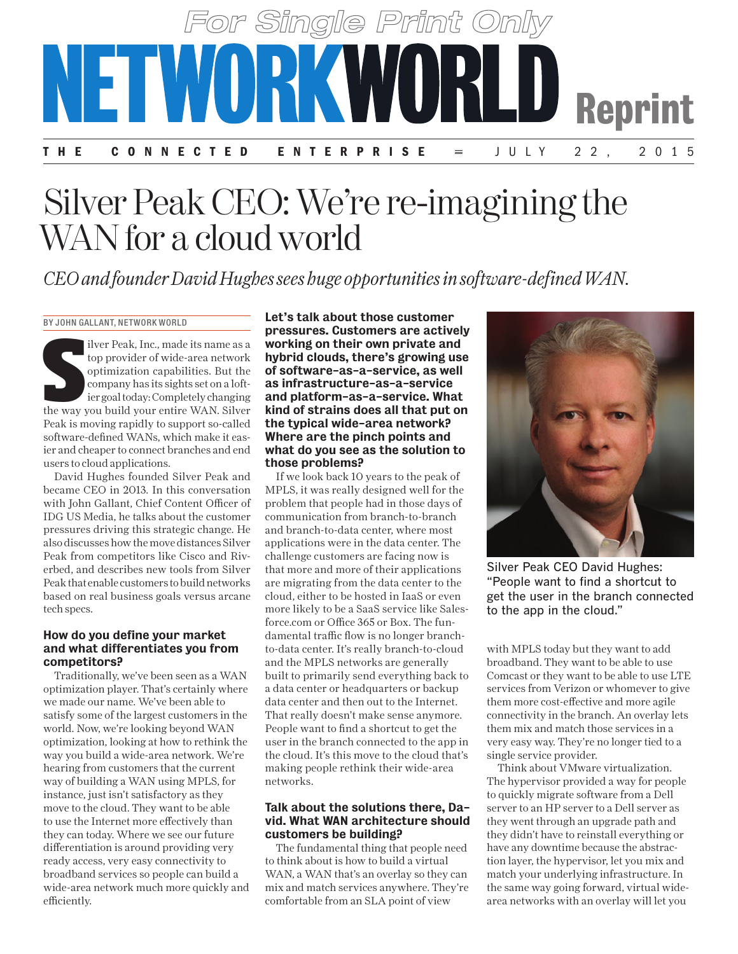

# Silver Peak CEO: We're re-imagining the WAN for a cloud world

*CEO and founder David Hughes sees huge opportunities in software-defined WAN.*

BY JOHN GALLANT, NETWORK WORLD

ilver Peak, Inc., made its name as a<br>top provider of wide-area network<br>optimization capabilities. But the<br>company has its sights set on a loft-<br>ier goal today: Completely changing<br>the way you build your entire WAN. Silver ilver Peak, Inc., made its name as a top provider of wide-area network optimization capabilities. But the company has its sights set on a loftier goal today: Completely changing Peak is moving rapidly to support so-called software-defined WANs, which make it easier and cheaper to connect branches and end users to cloud applications.

David Hughes founded Silver Peak and became CEO in 2013. In this conversation with John Gallant, Chief Content Officer of IDG US Media, he talks about the customer pressures driving this strategic change. He also discusses how the move distances Silver Peak from competitors like Cisco and Riverbed, and describes new tools from Silver Peak that enable customers to build networks based on real business goals versus arcane tech specs.

#### How do you define your market and what differentiates you from competitors?

Traditionally, we've been seen as a WAN optimization player. That's certainly where we made our name. We've been able to satisfy some of the largest customers in the world. Now, we're looking beyond WAN optimization, looking at how to rethink the way you build a wide-area network. We're hearing from customers that the current way of building a WAN using MPLS, for instance, just isn't satisfactory as they move to the cloud. They want to be able to use the Internet more effectively than they can today. Where we see our future differentiation is around providing very ready access, very easy connectivity to broadband services so people can build a wide-area network much more quickly and efficiently.

Let's talk about those customer pressures. Customers are actively working on their own private and hybrid clouds, there's growing use of software-as-a-service, as well as infrastructure-as-a-service and platform-as-a-service. What kind of strains does all that put on the typical wide-area network? Where are the pinch points and what do you see as the solution to those problems?

If we look back 10 years to the peak of MPLS, it was really designed well for the problem that people had in those days of communication from branch-to-branch and branch-to-data center, where most applications were in the data center. The challenge customers are facing now is that more and more of their applications are migrating from the data center to the cloud, either to be hosted in IaaS or even more likely to be a SaaS service like Salesforce.com or Office 365 or Box. The fundamental traffic flow is no longer branchto-data center. It's really branch-to-cloud and the MPLS networks are generally built to primarily send everything back to a data center or headquarters or backup data center and then out to the Internet. That really doesn't make sense anymore. People want to find a shortcut to get the user in the branch connected to the app in the cloud. It's this move to the cloud that's making people rethink their wide-area networks.

#### Talk about the solutions there, David. What WAN architecture should customers be building?

The fundamental thing that people need to think about is how to build a virtual WAN, a WAN that's an overlay so they can mix and match services anywhere. They're comfortable from an SLA point of view



Silver Peak CEO David Hughes: "People want to find a shortcut to get the user in the branch connected to the app in the cloud."

with MPLS today but they want to add broadband. They want to be able to use Comcast or they want to be able to use LTE services from Verizon or whomever to give them more cost-effective and more agile connectivity in the branch. An overlay lets them mix and match those services in a very easy way. They're no longer tied to a single service provider.

Think about VMware virtualization. The hypervisor provided a way for people to quickly migrate software from a Dell server to an HP server to a Dell server as they went through an upgrade path and they didn't have to reinstall everything or have any downtime because the abstraction layer, the hypervisor, let you mix and match your underlying infrastructure. In the same way going forward, virtual widearea networks with an overlay will let you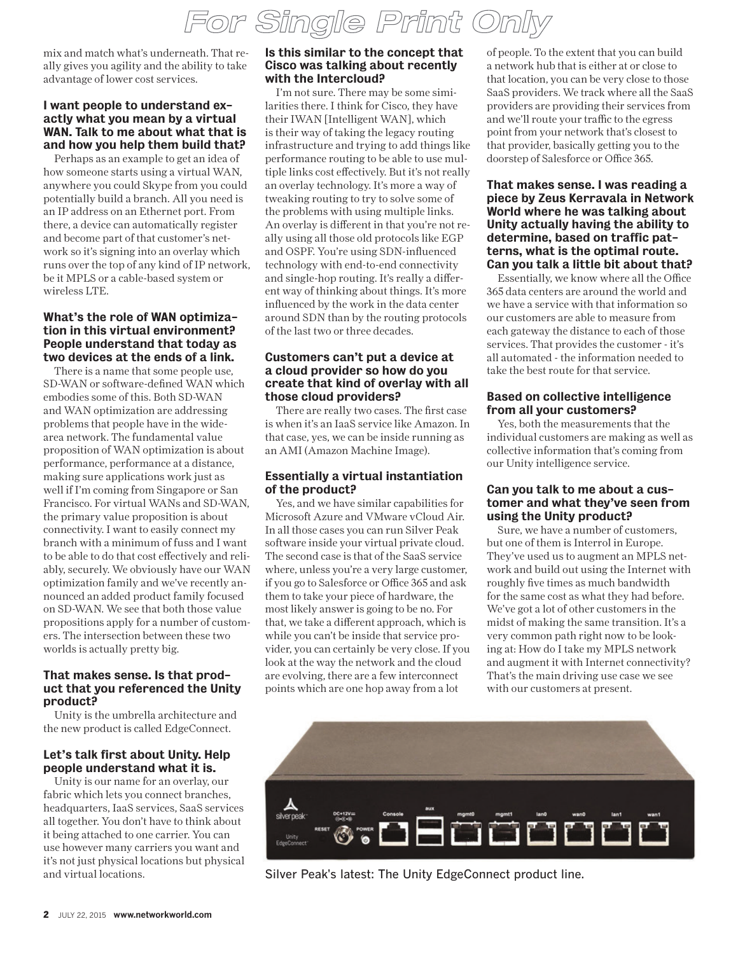mix and match what's underneath. That really gives you agility and the ability to take advantage of lower cost services.

## I want people to understand exactly what you mean by a virtual WAN. Talk to me about what that is and how you help them build that?

Perhaps as an example to get an idea of how someone starts using a virtual WAN, anywhere you could Skype from you could potentially build a branch. All you need is an IP address on an Ethernet port. From there, a device can automatically register and become part of that customer's network so it's signing into an overlay which runs over the top of any kind of IP network, be it MPLS or a cable-based system or wireless LTE.

## What's the role of WAN optimization in this virtual environment? People understand that today as two devices at the ends of a link.

There is a name that some people use, SD-WAN or software-defined WAN which embodies some of this. Both SD-WAN and WAN optimization are addressing problems that people have in the widearea network. The fundamental value proposition of WAN optimization is about performance, performance at a distance, making sure applications work just as well if I'm coming from Singapore or San Francisco. For virtual WANs and SD-WAN, the primary value proposition is about connectivity. I want to easily connect my branch with a minimum of fuss and I want to be able to do that cost effectively and reliably, securely. We obviously have our WAN optimization family and we've recently announced an added product family focused on SD-WAN. We see that both those value propositions apply for a number of customers. The intersection between these two worlds is actually pretty big.

#### That makes sense. Is that product that you referenced the Unity product?

Unity is the umbrella architecture and the new product is called EdgeConnect.

# Let's talk first about Unity. Help people understand what it is.

Unity is our name for an overlay, our fabric which lets you connect branches, headquarters, IaaS services, SaaS services all together. You don't have to think about it being attached to one carrier. You can use however many carriers you want and it's not just physical locations but physical and virtual locations.

## Is this similar to the concept that Cisco was talking about recently with the Intercloud?

I'm not sure. There may be some similarities there. I think for Cisco, they have their IWAN [Intelligent WAN], which is their way of taking the legacy routing infrastructure and trying to add things like performance routing to be able to use multiple links cost effectively. But it's not really an overlay technology. It's more a way of tweaking routing to try to solve some of the problems with using multiple links. An overlay is different in that you're not really using all those old protocols like EGP and OSPF. You're using SDN-influenced technology with end-to-end connectivity and single-hop routing. It's really a different way of thinking about things. It's more influenced by the work in the data center around SDN than by the routing protocols of the last two or three decades.

# Customers can't put a device at a cloud provider so how do you create that kind of overlay with all those cloud providers?

There are really two cases. The first case is when it's an IaaS service like Amazon. In that case, yes, we can be inside running as an AMI (Amazon Machine Image).

# Essentially a virtual instantiation of the product?

Yes, and we have similar capabilities for Microsoft Azure and VMware vCloud Air. In all those cases you can run Silver Peak software inside your virtual private cloud. The second case is that of the SaaS service where, unless you're a very large customer, if you go to Salesforce or Office 365 and ask them to take your piece of hardware, the most likely answer is going to be no. For that, we take a different approach, which is while you can't be inside that service provider, you can certainly be very close. If you look at the way the network and the cloud are evolving, there are a few interconnect points which are one hop away from a lot

of people. To the extent that you can build a network hub that is either at or close to that location, you can be very close to those SaaS providers. We track where all the SaaS providers are providing their services from and we'll route your traffic to the egress point from your network that's closest to that provider, basically getting you to the doorstep of Salesforce or Office 365.

#### That makes sense. I was reading a piece by Zeus Kerravala in Network World where he was talking about Unity actually having the ability to determine, based on traffic patterns, what is the optimal route. Can you talk a little bit about that?

Essentially, we know where all the Office 365 data centers are around the world and we have a service with that information so our customers are able to measure from each gateway the distance to each of those services. That provides the customer - it's all automated - the information needed to take the best route for that service.

## Based on collective intelligence from all your customers?

Yes, both the measurements that the individual customers are making as well as collective information that's coming from our Unity intelligence service.

## Can you talk to me about a customer and what they've seen from using the Unity product?

Sure, we have a number of customers, but one of them is Interrol in Europe. They've used us to augment an MPLS network and build out using the Internet with roughly five times as much bandwidth for the same cost as what they had before. We've got a lot of other customers in the midst of making the same transition. It's a very common path right now to be looking at: How do I take my MPLS network and augment it with Internet connectivity? That's the main driving use case we see with our customers at present.



Silver Peak's latest: The Unity EdgeConnect product line.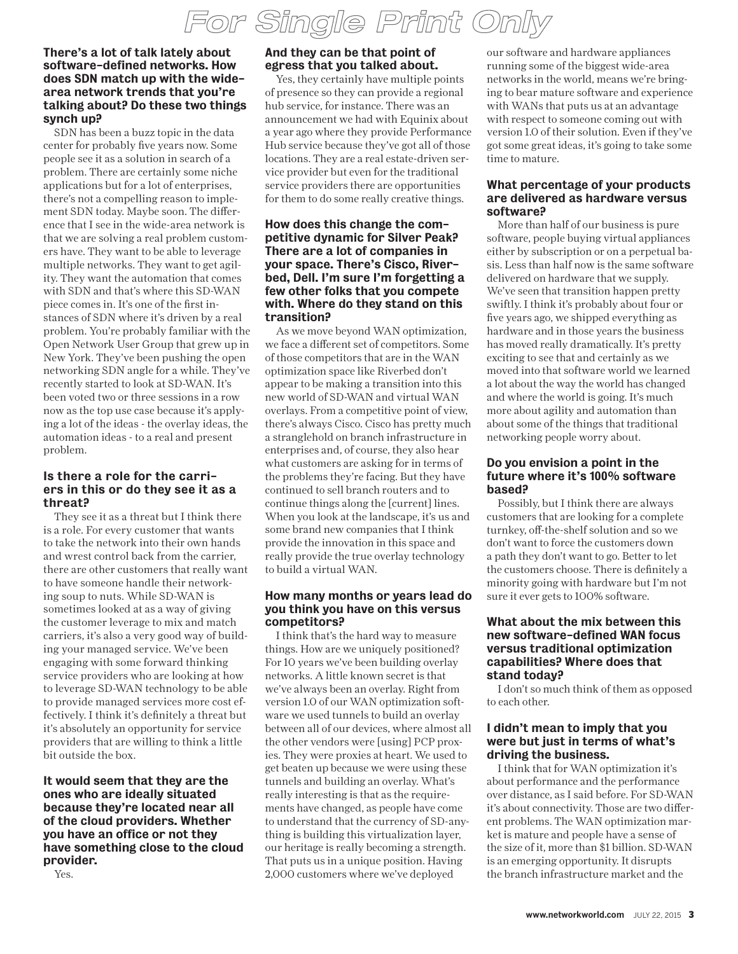#### There's a lot of talk lately about software-defined networks. How does SDN match up with the widearea network trends that you're talking about? Do these two things synch up?

SDN has been a buzz topic in the data center for probably five years now. Some people see it as a solution in search of a problem. There are certainly some niche applications but for a lot of enterprises, there's not a compelling reason to implement SDN today. Maybe soon. The difference that I see in the wide-area network is that we are solving a real problem customers have. They want to be able to leverage multiple networks. They want to get agility. They want the automation that comes with SDN and that's where this SD-WAN piece comes in. It's one of the first instances of SDN where it's driven by a real problem. You're probably familiar with the Open Network User Group that grew up in New York. They've been pushing the open networking SDN angle for a while. They've recently started to look at SD-WAN. It's been voted two or three sessions in a row now as the top use case because it's applying a lot of the ideas - the overlay ideas, the automation ideas - to a real and present problem.

## Is there a role for the carriers in this or do they see it as a threat?

They see it as a threat but I think there is a role. For every customer that wants to take the network into their own hands and wrest control back from the carrier, there are other customers that really want to have someone handle their networking soup to nuts. While SD-WAN is sometimes looked at as a way of giving the customer leverage to mix and match carriers, it's also a very good way of building your managed service. We've been engaging with some forward thinking service providers who are looking at how to leverage SD-WAN technology to be able to provide managed services more cost effectively. I think it's definitely a threat but it's absolutely an opportunity for service providers that are willing to think a little bit outside the box.

It would seem that they are the ones who are ideally situated because they're located near all of the cloud providers. Whether you have an office or not they have something close to the cloud provider.

Yes.

# And they can be that point of egress that you talked about.

Yes, they certainly have multiple points of presence so they can provide a regional hub service, for instance. There was an announcement we had with Equinix about a year ago where they provide Performance Hub service because they've got all of those locations. They are a real estate-driven service provider but even for the traditional service providers there are opportunities for them to do some really creative things.

#### How does this change the competitive dynamic for Silver Peak? There are a lot of companies in your space. There's Cisco, Riverbed, Dell. I'm sure I'm forgetting a few other folks that you compete with. Where do they stand on this transition?

As we move beyond WAN optimization, we face a different set of competitors. Some of those competitors that are in the WAN optimization space like Riverbed don't appear to be making a transition into this new world of SD-WAN and virtual WAN overlays. From a competitive point of view, there's always Cisco. Cisco has pretty much a stranglehold on branch infrastructure in enterprises and, of course, they also hear what customers are asking for in terms of the problems they're facing. But they have continued to sell branch routers and to continue things along the [current] lines. When you look at the landscape, it's us and some brand new companies that I think provide the innovation in this space and really provide the true overlay technology to build a virtual WAN.

## How many months or years lead do you think you have on this versus competitors?

I think that's the hard way to measure things. How are we uniquely positioned? For 10 years we've been building overlay networks. A little known secret is that we've always been an overlay. Right from version 1.0 of our WAN optimization software we used tunnels to build an overlay between all of our devices, where almost all the other vendors were [using] PCP proxies. They were proxies at heart. We used to get beaten up because we were using these tunnels and building an overlay. What's really interesting is that as the requirements have changed, as people have come to understand that the currency of SD-anything is building this virtualization layer, our heritage is really becoming a strength. That puts us in a unique position. Having 2,000 customers where we've deployed

our software and hardware appliances running some of the biggest wide-area networks in the world, means we're bringing to bear mature software and experience with WANs that puts us at an advantage with respect to someone coming out with version 1.0 of their solution. Even if they've got some great ideas, it's going to take some time to mature.

## What percentage of your products are delivered as hardware versus software?

More than half of our business is pure software, people buying virtual appliances either by subscription or on a perpetual basis. Less than half now is the same software delivered on hardware that we supply. We've seen that transition happen pretty swiftly. I think it's probably about four or five years ago, we shipped everything as hardware and in those years the business has moved really dramatically. It's pretty exciting to see that and certainly as we moved into that software world we learned a lot about the way the world has changed and where the world is going. It's much more about agility and automation than about some of the things that traditional networking people worry about.

## Do you envision a point in the future where it's 100% software based?

Possibly, but I think there are always customers that are looking for a complete turnkey, off-the-shelf solution and so we don't want to force the customers down a path they don't want to go. Better to let the customers choose. There is definitely a minority going with hardware but I'm not sure it ever gets to 100% software.

## What about the mix between this new software-defined WAN focus versus traditional optimization capabilities? Where does that stand today?

I don't so much think of them as opposed to each other.

## I didn't mean to imply that you were but just in terms of what's driving the business.

I think that for WAN optimization it's about performance and the performance over distance, as I said before. For SD-WAN it's about connectivity. Those are two different problems. The WAN optimization market is mature and people have a sense of the size of it, more than \$1 billion. SD-WAN is an emerging opportunity. It disrupts the branch infrastructure market and the